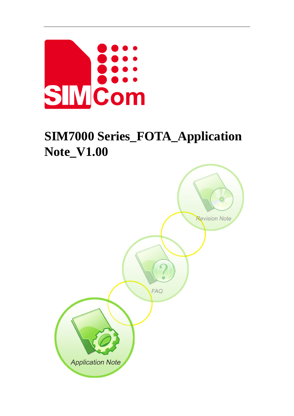

# **SIM7000 Series\_FOTA\_Application Note\_V1.00**

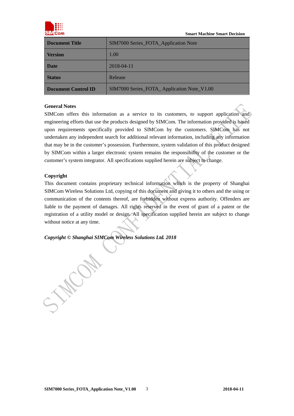

 **Smart Machine Smart Decision** 

| <b>Document Title</b>      | SIM7000 Series_FOTA_Application Note       |  |
|----------------------------|--------------------------------------------|--|
| <b>Version</b>             | 1.00                                       |  |
| <b>Date</b>                | 2018-04-11                                 |  |
| <b>Status</b>              | Release                                    |  |
| <b>Document Control ID</b> | SIM7000 Series_FOTA_Application Note_V1.00 |  |

#### **General Notes**

SIMCom offers this information as a service to its customers, to support application and) engineering efforts that use the products designed by SIMCom. The information provided is based upon requirements specifically provided to SIMCom by the customers. SIMCom has not undertaken any independent search for additional relevant information, including any information that may be in the customer's possession. Furthermore, system validation of this product designed by SIMCom within a larger electronic system remains the responsibility of the customer or the customer's system integrator. All specifications supplied herein are subject to change.

#### **Copyright**

This document contains proprietary technical information which is the property of Shanghai SIMCom Wireless Solutions Ltd, copying of this document and giving it to others and the using or communication of the contents thereof, are forbidden without express authority. Offenders are liable to the payment of damages. All rights reserved in the event of grant of a patent or the registration of a utility model or design. All specification supplied herein are subject to change without notice at any time.

*Copyright © Shanghai SIMCom Wireless Solutions Ltd. 2018*

**MACON**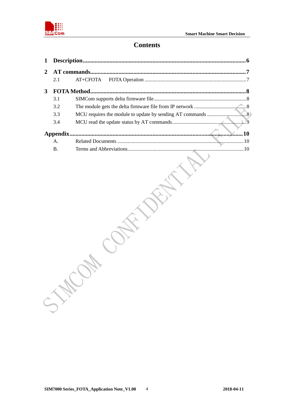

## **Contents**

|   |           | AT commands<br>. 7 |
|---|-----------|--------------------|
|   | 2.1       | AT+CFOTA           |
| 3 |           |                    |
|   | 3.1       |                    |
|   | 3.2       |                    |
|   | 3.3       |                    |
|   | 3.4       |                    |
|   | Appendix. |                    |
|   | A.        |                    |
|   | <b>B.</b> |                    |
|   |           |                    |
|   | SIE       |                    |
|   |           |                    |
|   |           |                    |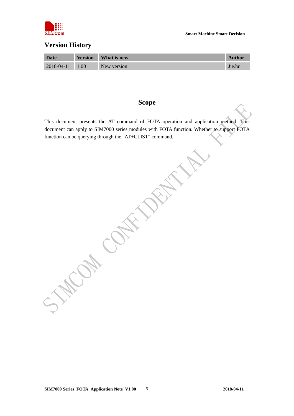

#### **Version History**

| <b>Date</b> | <b>Version</b> | What is new | <b>Author</b> |
|-------------|----------------|-------------|---------------|
| 2018-04-11  | 1.00           | New version | Jie.hu        |

## **Scope**

This document presents the AT command of FOTA operation and application method. This document can apply to SIM7000 series modules with FOTA function. Whether to support FOTA function can be querying through the "AT+CLIST" command.

WOM CONTACK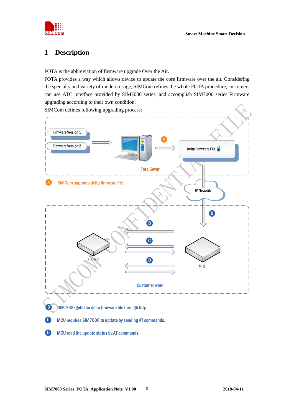

## <span id="page-4-0"></span>**1 Description**

FOTA is the abbreviation of firmware upgrade Over the Air.

FOTA provides a way which allows device to update the core firmware over the air. Considering the specialty and variety of modern usage, SIMCom refines the whole FOTA procedure, customers can use ATC interface provided by SIM7000 series, and accomplish SIM7000 series Firmware upgrading according to their own condition.





- **C** MCU requires SIM7000 to update by sending AT commands.
	- MCU read the update status by AT commands.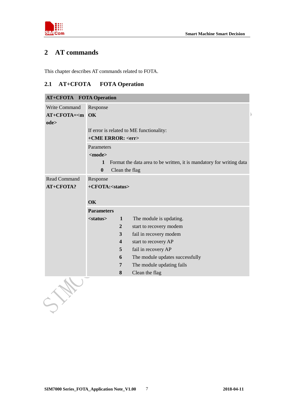



## <span id="page-5-0"></span>**2 AT commands**

This chapter describes AT commands related to FOTA.

#### <span id="page-5-1"></span>**2.1 AT+CFOTA FOTA Operation**

|                                       | <b>AT+CFOTA</b> FOTA Operation                                                                                                                                                                                                                                                                                                     |  |  |  |
|---------------------------------------|------------------------------------------------------------------------------------------------------------------------------------------------------------------------------------------------------------------------------------------------------------------------------------------------------------------------------------|--|--|--|
| Write Command<br>$AT+CFOTA=m$<br>ode> | Response<br><b>OK</b>                                                                                                                                                                                                                                                                                                              |  |  |  |
|                                       | If error is related to ME functionality:<br>+CME ERROR: <err></err>                                                                                                                                                                                                                                                                |  |  |  |
|                                       | Parameters<br>$<$ mode $>$                                                                                                                                                                                                                                                                                                         |  |  |  |
|                                       | Format the data area to be written, it is mandatory for writing data<br>$\mathbf 1$<br>$\boldsymbol{0}$<br>Clean the flag                                                                                                                                                                                                          |  |  |  |
| Read Command                          | Response                                                                                                                                                                                                                                                                                                                           |  |  |  |
| AT+CFOTA?                             | +CFOTA: <status></status>                                                                                                                                                                                                                                                                                                          |  |  |  |
|                                       | OK<br><b>Parameters</b>                                                                                                                                                                                                                                                                                                            |  |  |  |
|                                       | $\mathbf{1}$<br>The module is updating.<br>$<$ status $>$<br>$\overline{2}$<br>start to recovery modem<br>3<br>fail in recovery modem<br>$\overline{\mathbf{4}}$<br>start to recovery AP<br>5<br>fail in recovery AP<br>The module updates successfully<br>6<br>The module updating fails<br>$\overline{7}$<br>Clean the flag<br>8 |  |  |  |
|                                       |                                                                                                                                                                                                                                                                                                                                    |  |  |  |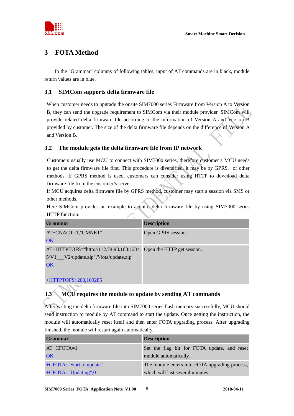



## <span id="page-6-0"></span>**3 FOTA Method**

In the "Grammar" columns of following tables, input of AT commands are in black, module return values are in blue.

#### <span id="page-6-1"></span>**3.1 SIMCom supports delta firmware file**

When customer needs to upgrade the onsite SIM7000 series Firmware from Version A to Version B, they can send the upgrade requirement to SIMCom via their module provider. SIMCom will provide related delta firmware file according to the information of Version A and Version B provided by customer. The size of the delta firmware file depends on the difference of Version A and Version B.

#### <span id="page-6-2"></span>**3.2 The module gets the delta firmware file from IP network**

Customers usually use MCU to connect with SIM7000 series, therefore customer's MCU needs to get the delta firmware file first. This procedure is diversified, it may be by GPRS, or other methods. If GPRS method is used, customers can consider using HTTP to download delta firmware file from the customer's server.

If MCU acquires delta firmware file by GPRS method, customer may start a session via SMS or other methods.

Here SIMCom provides an example to acquire delta firmware file by using SIM7000 series HTTP function:

| <b>Grammar</b>                           | <b>Description</b>         |
|------------------------------------------|----------------------------|
| $AT+CNACT=1$ ,"CMNET"                    | Open GPRS session.         |
| OK                                       |                            |
| AT+HTTPTOFS="http://112.74.93.163:1234   | Open the HTTP get session. |
| 5/V1___V2/update.zip","/fota/update.zip" |                            |
| OK                                       |                            |
|                                          |                            |
| +HTTPTOFS: 200,109285                    |                            |

## <span id="page-6-3"></span>**3.3 MCU requires the module to update by sending AT commands**

After writing the delta firmware file into SIM7000 series flash memory successfully, MCU should send instruction to module by AT command to start the update. Once getting the instruction, the module will automatically reset itself and then enter FOTA upgrading process. After upgrading finished, the module will restart again automatically.

| <b>Grammar</b>            | <b>Description</b>                             |
|---------------------------|------------------------------------------------|
| $AT+CFOTA=1$              | Set the flag bit for FOTA update, and reset    |
| <b>OK</b>                 | module automatically.                          |
| +CFOTA: "Start to update" | The module enters into FOTA upgrading process, |
| +CFOTA: "Updating",0      | which will last several minutes.               |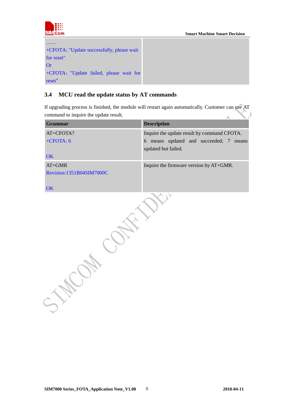



## <span id="page-7-0"></span>**3.4 MCU read the update status by AT commands**

If upgrading process is finished, the module will restart again automatically. Customer can use AT command to inquire the update result.  $\rightarrow$  $\overline{\mathbf{A}}$ 

| <b>Grammar</b>           | <b>Description</b>                           |
|--------------------------|----------------------------------------------|
| AT+CFOTA?                | Inquire the update result by command CFOTA.  |
| $+CFOTA: 6$              | means updated and succeeded; 7<br>6<br>means |
|                          | updated but failed.                          |
| OK                       |                                              |
| $AT+GMR$                 | Inquire the firmware version by AT+GMR.      |
| Revision:1351B04SIM7000C |                                              |
| OK                       |                                              |
|                          |                                              |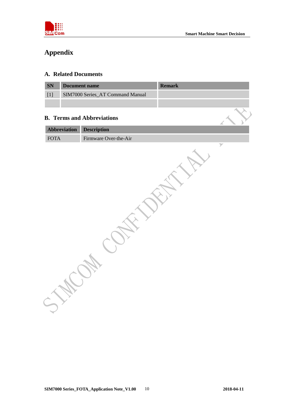

## <span id="page-8-0"></span>**Appendix**

#### <span id="page-8-1"></span>**A. Related Documents**

<span id="page-8-2"></span>

| <b>Document name</b><br><b>SN</b> |                                   | <b>Remark</b> |  |  |  |
|-----------------------------------|-----------------------------------|---------------|--|--|--|
| $[1]$                             | SIM7000 Series_AT Command Manual  |               |  |  |  |
|                                   |                                   |               |  |  |  |
|                                   |                                   |               |  |  |  |
|                                   | <b>B.</b> Terms and Abbreviations |               |  |  |  |
| Abbreviation                      | <b>Description</b>                |               |  |  |  |
| $\mbox{FOTA}$                     | Firmware Over-the-Air             |               |  |  |  |
|                                   |                                   |               |  |  |  |